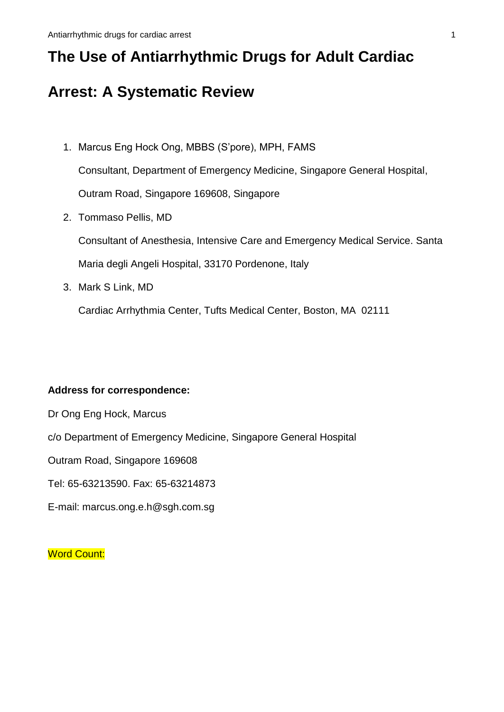# **The Use of Antiarrhythmic Drugs for Adult Cardiac**

# **Arrest: A Systematic Review**

- 1. Marcus Eng Hock Ong, MBBS (S'pore), MPH, FAMS Consultant, Department of Emergency Medicine, Singapore General Hospital, Outram Road, Singapore 169608, Singapore
- 2. Tommaso Pellis, MD

Consultant of Anesthesia, Intensive Care and Emergency Medical Service. Santa Maria degli Angeli Hospital, 33170 Pordenone, Italy

3. Mark S Link, MD

Cardiac Arrhythmia Center, Tufts Medical Center, Boston, MA 02111

# **Address for correspondence:**

- Dr Ong Eng Hock, Marcus
- c/o Department of Emergency Medicine, Singapore General Hospital

Outram Road, Singapore 169608

- Tel: 65-63213590. Fax: 65-63214873
- E-mail: marcus.ong.e.h@sgh.com.sg

**Word Count:**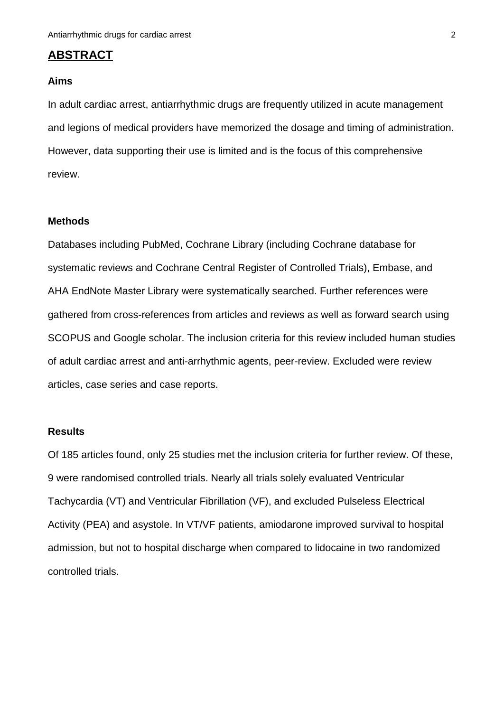# **ABSTRACT**

## **Aims**

In adult cardiac arrest, antiarrhythmic drugs are frequently utilized in acute management and legions of medical providers have memorized the dosage and timing of administration. However, data supporting their use is limited and is the focus of this comprehensive review.

## **Methods**

Databases including PubMed, Cochrane Library (including Cochrane database for systematic reviews and Cochrane Central Register of Controlled Trials), Embase, and AHA EndNote Master Library were systematically searched. Further references were gathered from cross-references from articles and reviews as well as forward search using SCOPUS and Google scholar. The inclusion criteria for this review included human studies of adult cardiac arrest and anti-arrhythmic agents, peer-review. Excluded were review articles, case series and case reports.

#### **Results**

Of 185 articles found, only 25 studies met the inclusion criteria for further review. Of these, 9 were randomised controlled trials. Nearly all trials solely evaluated Ventricular Tachycardia (VT) and Ventricular Fibrillation (VF), and excluded Pulseless Electrical Activity (PEA) and asystole. In VT/VF patients, amiodarone improved survival to hospital admission, but not to hospital discharge when compared to lidocaine in two randomized controlled trials.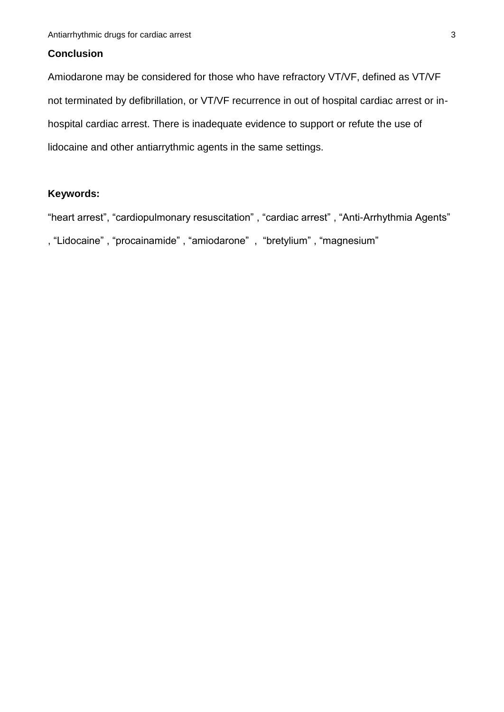# **Conclusion**

Amiodarone may be considered for those who have refractory VT/VF, defined as VT/VF not terminated by defibrillation, or VT/VF recurrence in out of hospital cardiac arrest or inhospital cardiac arrest. There is inadequate evidence to support or refute the use of lidocaine and other antiarrythmic agents in the same settings.

# **Keywords:**

"heart arrest", "cardiopulmonary resuscitation" , "cardiac arrest" , "Anti-Arrhythmia Agents" , "Lidocaine" , "procainamide" , "amiodarone" , "bretylium" , "magnesium"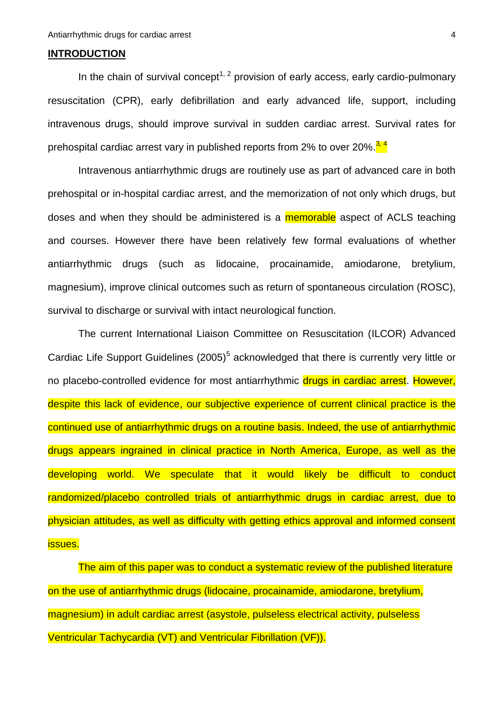## **INTRODUCTION**

In the chain of survival concept<sup>1, 2</sup> provision of early access, early cardio-pulmonary resuscitation (CPR), early defibrillation and early advanced life, support, including intravenous drugs, should improve survival in sudden cardiac arrest. Survival rates for prehospital cardiac arrest vary in published reports from 2% to over 20%.<sup>3,4</sup>

Intravenous antiarrhythmic drugs are routinely use as part of advanced care in both prehospital or in-hospital cardiac arrest, and the memorization of not only which drugs, but doses and when they should be administered is a **memorable** aspect of ACLS teaching and courses. However there have been relatively few formal evaluations of whether antiarrhythmic drugs (such as lidocaine, procainamide, amiodarone, bretylium, magnesium), improve clinical outcomes such as return of spontaneous circulation (ROSC), survival to discharge or survival with intact neurological function.

The current International Liaison Committee on Resuscitation (ILCOR) Advanced Cardiac Life Support Guidelines  $(2005)^5$  acknowledged that there is currently very little or no placebo-controlled evidence for most antiarrhythmic drugs in cardiac arrest. However, despite this lack of evidence, our subjective experience of current clinical practice is the continued use of antiarrhythmic drugs on a routine basis. Indeed, the use of antiarrhythmic drugs appears ingrained in clinical practice in North America, Europe, as well as the developing world. We speculate that it would likely be difficult to conduct randomized/placebo controlled trials of antiarrhythmic drugs in cardiac arrest, due to physician attitudes, as well as difficulty with getting ethics approval and informed consent issues.

The aim of this paper was to conduct a systematic review of the published literature on the use of antiarrhythmic drugs (lidocaine, procainamide, amiodarone, bretylium, magnesium) in adult cardiac arrest (asystole, pulseless electrical activity, pulseless Ventricular Tachycardia (VT) and Ventricular Fibrillation (VF)).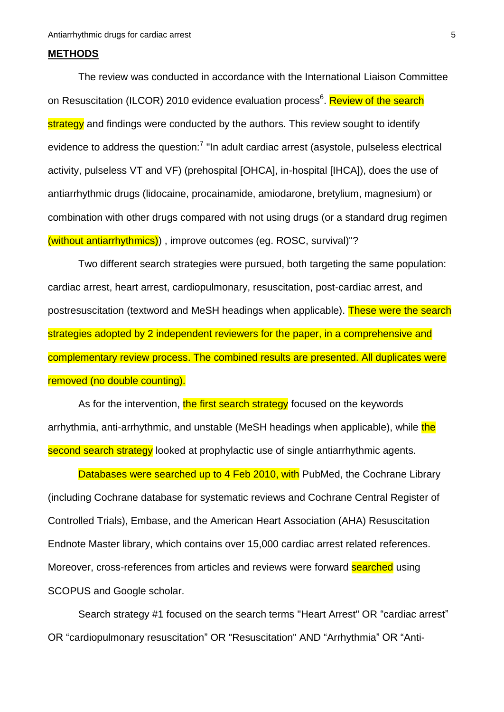## **METHODS**

The review was conducted in accordance with the International Liaison Committee on Resuscitation (ILCOR) 2010 evidence evaluation process<sup>6</sup>. Review of the search strategy and findings were conducted by the authors. This review sought to identify evidence to address the question:<sup>7</sup> "In adult cardiac arrest (asystole, pulseless electrical activity, pulseless VT and VF) (prehospital [OHCA], in-hospital [IHCA]), does the use of antiarrhythmic drugs (lidocaine, procainamide, amiodarone, bretylium, magnesium) or combination with other drugs compared with not using drugs (or a standard drug regimen (without antiarrhythmics)) , improve outcomes (eg. ROSC, survival)"?

Two different search strategies were pursued, both targeting the same population: cardiac arrest, heart arrest, cardiopulmonary, resuscitation, post-cardiac arrest, and postresuscitation (textword and MeSH headings when applicable). These were the search strategies adopted by 2 independent reviewers for the paper, in a comprehensive and complementary review process. The combined results are presented. All duplicates were removed (no double counting).

As for the intervention, the first search strategy focused on the keywords arrhythmia, anti-arrhythmic, and unstable (MeSH headings when applicable), while the second search strategy looked at prophylactic use of single antiarrhythmic agents.

Databases were searched up to 4 Feb 2010, with PubMed, the Cochrane Library (including Cochrane database for systematic reviews and Cochrane Central Register of Controlled Trials), Embase, and the American Heart Association (AHA) Resuscitation Endnote Master library, which contains over 15,000 cardiac arrest related references. Moreover, cross-references from articles and reviews were forward searched using SCOPUS and Google scholar.

Search strategy #1 focused on the search terms "Heart Arrest" OR "cardiac arrest" OR "cardiopulmonary resuscitation" OR "Resuscitation" AND "Arrhythmia" OR "Anti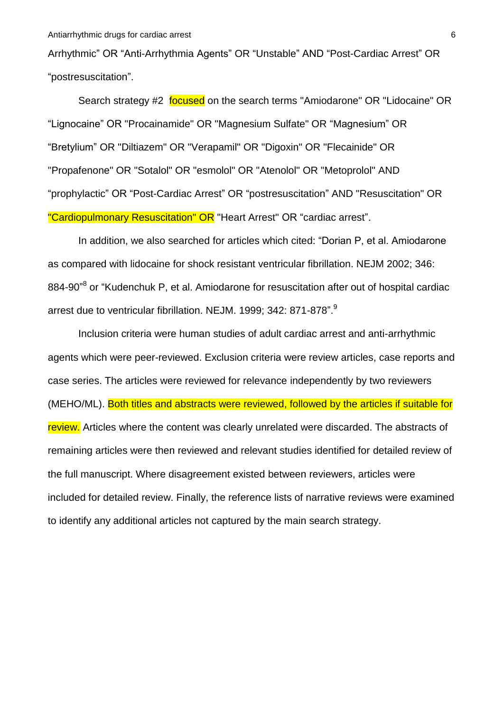Arrhythmic" OR "Anti-Arrhythmia Agents" OR "Unstable" AND "Post-Cardiac Arrest" OR "postresuscitation".

Search strategy #2 focused on the search terms "Amiodarone" OR "Lidocaine" OR "Lignocaine" OR "Procainamide" OR "Magnesium Sulfate" OR "Magnesium" OR "Bretylium" OR "Diltiazem" OR "Verapamil" OR "Digoxin" OR "Flecainide" OR "Propafenone" OR "Sotalol" OR "esmolol" OR "Atenolol" OR "Metoprolol" AND "prophylactic" OR "Post-Cardiac Arrest" OR "postresuscitation" AND "Resuscitation" OR "Cardiopulmonary Resuscitation" OR "Heart Arrest" OR "cardiac arrest".

In addition, we also searched for articles which cited: "Dorian P, et al. Amiodarone as compared with lidocaine for shock resistant ventricular fibrillation. NEJM 2002; 346: 884-90"<sup>8</sup> or "Kudenchuk P, et al. Amiodarone for resuscitation after out of hospital cardiac arrest due to ventricular fibrillation. NEJM. 1999; 342: 871-878".<sup>9</sup>

Inclusion criteria were human studies of adult cardiac arrest and anti-arrhythmic agents which were peer-reviewed. Exclusion criteria were review articles, case reports and case series. The articles were reviewed for relevance independently by two reviewers (MEHO/ML). Both titles and abstracts were reviewed, followed by the articles if suitable for review. Articles where the content was clearly unrelated were discarded. The abstracts of remaining articles were then reviewed and relevant studies identified for detailed review of the full manuscript. Where disagreement existed between reviewers, articles were included for detailed review. Finally, the reference lists of narrative reviews were examined to identify any additional articles not captured by the main search strategy.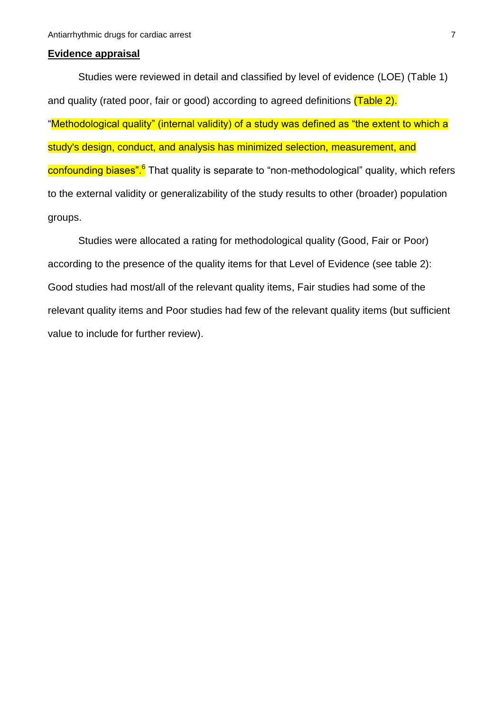#### **Evidence appraisal**

Studies were reviewed in detail and classified by level of evidence (LOE) (Table 1) and quality (rated poor, fair or good) according to agreed definitions (Table 2). "Methodological quality" (internal validity) of a study was defined as "the extent to which a study's design, conduct, and analysis has minimized selection, measurement, and confounding biases".<sup>6</sup> That quality is separate to "non-methodological" quality, which refers to the external validity or generalizability of the study results to other (broader) population groups.

Studies were allocated a rating for methodological quality (Good, Fair or Poor) according to the presence of the quality items for that Level of Evidence (see table 2): Good studies had most/all of the relevant quality items, Fair studies had some of the relevant quality items and Poor studies had few of the relevant quality items (but sufficient value to include for further review).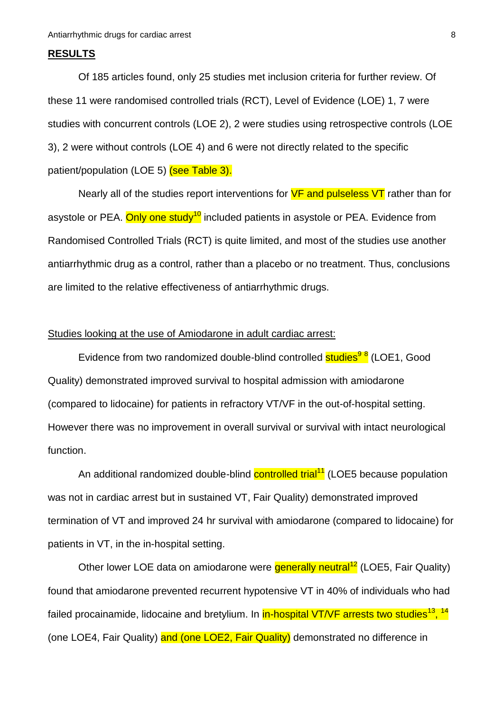### **RESULTS**

Of 185 articles found, only 25 studies met inclusion criteria for further review. Of these 11 were randomised controlled trials (RCT), Level of Evidence (LOE) 1, 7 were studies with concurrent controls (LOE 2), 2 were studies using retrospective controls (LOE 3), 2 were without controls (LOE 4) and 6 were not directly related to the specific patient/population (LOE 5) (see Table 3).

Nearly all of the studies report interventions for **VF and pulseless VT** rather than for asystole or PEA. Only one study<sup>10</sup> included patients in asystole or PEA. Evidence from Randomised Controlled Trials (RCT) is quite limited, and most of the studies use another antiarrhythmic drug as a control, rather than a placebo or no treatment. Thus, conclusions are limited to the relative effectiveness of antiarrhythmic drugs.

## Studies looking at the use of Amiodarone in adult cardiac arrest:

Evidence from two randomized double-blind controlled **studies<sup>98</sup> (LOE1**, Good Quality) demonstrated improved survival to hospital admission with amiodarone (compared to lidocaine) for patients in refractory VT/VF in the out-of-hospital setting. However there was no improvement in overall survival or survival with intact neurological function.

An additional randomized double-blind controlled trial<sup>11</sup> (LOE5 because population was not in cardiac arrest but in sustained VT, Fair Quality) demonstrated improved termination of VT and improved 24 hr survival with amiodarone (compared to lidocaine) for patients in VT, in the in-hospital setting.

Other lower LOE data on amiodarone were generally neutral<sup>12</sup> (LOE5, Fair Quality) found that amiodarone prevented recurrent hypotensive VT in 40% of individuals who had failed procainamide, lidocaine and bretylium. In <mark>in-hospital VT/VF arrests two studies<sup>13</sup>, <sup>14</sup></mark> (one LOE4, Fair Quality) and (one LOE2, Fair Quality) demonstrated no difference in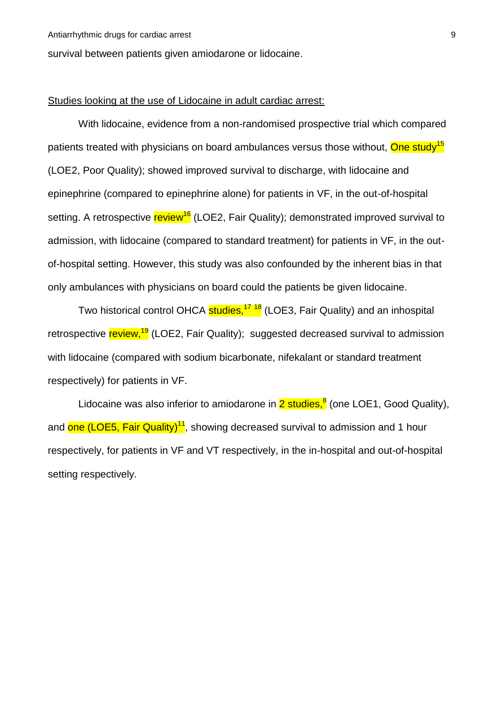survival between patients given amiodarone or lidocaine.

#### Studies looking at the use of Lidocaine in adult cardiac arrest:

With lidocaine, evidence from a non-randomised prospective trial which compared patients treated with physicians on board ambulances versus those without, One study<sup>15</sup> (LOE2, Poor Quality); showed improved survival to discharge, with lidocaine and epinephrine (compared to epinephrine alone) for patients in VF, in the out-of-hospital setting. A retrospective review<sup>16</sup> (LOE2, Fair Quality); demonstrated improved survival to admission, with lidocaine (compared to standard treatment) for patients in VF, in the outof-hospital setting. However, this study was also confounded by the inherent bias in that only ambulances with physicians on board could the patients be given lidocaine.

Two historical control OHCA studies,<sup>17 18</sup> (LOE3, Fair Quality) and an inhospital retrospective review,<sup>19</sup> (LOE2, Fair Quality); suggested decreased survival to admission with lidocaine (compared with sodium bicarbonate, nifekalant or standard treatment respectively) for patients in VF.

Lidocaine was also inferior to amiodarone in 2 studies, <sup>8</sup> (one LOE1, Good Quality), and <mark>one (LOE5, Fair Quality)<sup>11</sup>,</mark> showing decreased survival to admission and 1 hour respectively, for patients in VF and VT respectively, in the in-hospital and out-of-hospital setting respectively.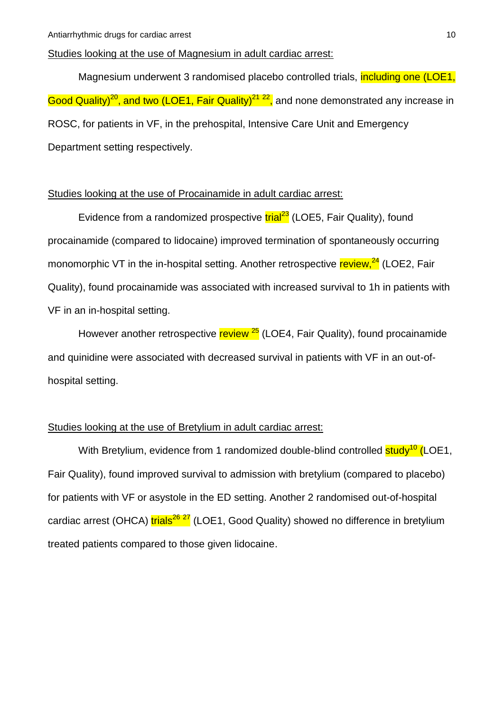## Studies looking at the use of Magnesium in adult cardiac arrest:

Magnesium underwent 3 randomised placebo controlled trials, including one (LOE1, Good Quality)<sup>20</sup>, and two (LOE1, Fair Quality)<sup>21-22</sup>, and none demonstrated any increase in ROSC, for patients in VF, in the prehospital, Intensive Care Unit and Emergency Department setting respectively.

# Studies looking at the use of Procainamide in adult cardiac arrest:

Evidence from a randomized prospective trial<sup>23</sup> (LOE5, Fair Quality), found procainamide (compared to lidocaine) improved termination of spontaneously occurring monomorphic VT in the in-hospital setting. Another retrospective review,<sup>24</sup> (LOE2, Fair Quality), found procainamide was associated with increased survival to 1h in patients with VF in an in-hospital setting.

However another retrospective review <sup>25</sup> (LOE4, Fair Quality), found procainamide and quinidine were associated with decreased survival in patients with VF in an out-ofhospital setting.

# Studies looking at the use of Bretylium in adult cardiac arrest:

With Bretylium, evidence from 1 randomized double-blind controlled  $\frac{\text{study}^{10}}{\text{LOE1}}$ , Fair Quality), found improved survival to admission with bretylium (compared to placebo) for patients with VF or asystole in the ED setting. Another 2 randomised out-of-hospital cardiac arrest (OHCA) trials<sup>26</sup><sup>27</sup> (LOE1, Good Quality) showed no difference in bretylium treated patients compared to those given lidocaine.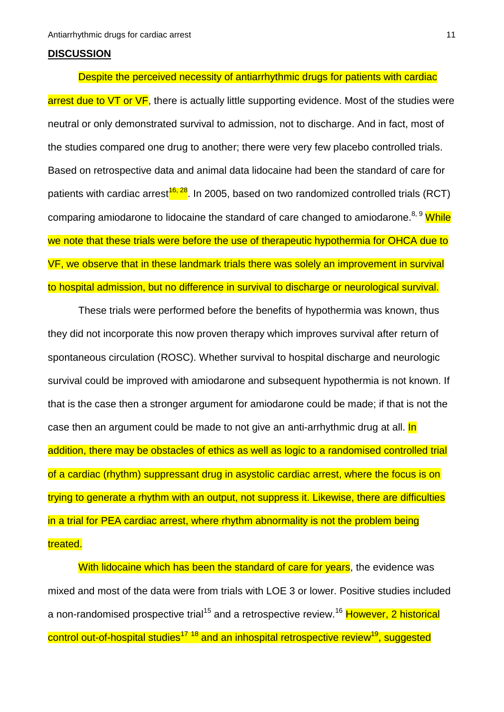#### **DISCUSSION**

Despite the perceived necessity of antiarrhythmic drugs for patients with cardiac arrest due to VT or VF, there is actually little supporting evidence. Most of the studies were neutral or only demonstrated survival to admission, not to discharge. And in fact, most of the studies compared one drug to another; there were very few placebo controlled trials. Based on retrospective data and animal data lidocaine had been the standard of care for patients with cardiac arrest<sup>16, 28</sup>. In 2005, based on two randomized controlled trials (RCT) comparing amiodarone to lidocaine the standard of care changed to amiodarone.<sup>8, 9</sup> While we note that these trials were before the use of therapeutic hypothermia for OHCA due to VF, we observe that in these landmark trials there was solely an improvement in survival to hospital admission, but no difference in survival to discharge or neurological survival.

These trials were performed before the benefits of hypothermia was known, thus they did not incorporate this now proven therapy which improves survival after return of spontaneous circulation (ROSC). Whether survival to hospital discharge and neurologic survival could be improved with amiodarone and subsequent hypothermia is not known. If that is the case then a stronger argument for amiodarone could be made; if that is not the case then an argument could be made to not give an anti-arrhythmic drug at all. In addition, there may be obstacles of ethics as well as logic to a randomised controlled trial of a cardiac (rhythm) suppressant drug in asystolic cardiac arrest, where the focus is on trying to generate a rhythm with an output, not suppress it. Likewise, there are difficulties in a trial for PEA cardiac arrest, where rhythm abnormality is not the problem being treated.

With lidocaine which has been the standard of care for years, the evidence was mixed and most of the data were from trials with LOE 3 or lower. Positive studies included a non-randomised prospective trial<sup>15</sup> and a retrospective review.<sup>16</sup> However, 2 historical control out-of-hospital studies<sup>17-18</sup> and an inhospital retrospective review<sup>19</sup>, suggested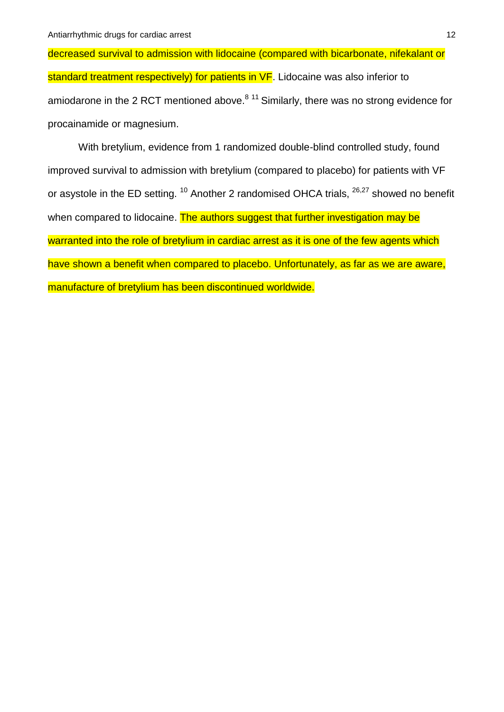decreased survival to admission with lidocaine (compared with bicarbonate, nifekalant or standard treatment respectively) for patients in VF. Lidocaine was also inferior to amiodarone in the 2 RCT mentioned above.<sup>8 11</sup> Similarly, there was no strong evidence for procainamide or magnesium.

With bretylium, evidence from 1 randomized double-blind controlled study, found improved survival to admission with bretylium (compared to placebo) for patients with VF or asystole in the ED setting.  $10$  Another 2 randomised OHCA trials,  $26,27$  showed no benefit when compared to lidocaine. The authors suggest that further investigation may be warranted into the role of bretylium in cardiac arrest as it is one of the few agents which have shown a benefit when compared to placebo. Unfortunately, as far as we are aware, manufacture of bretylium has been discontinued worldwide.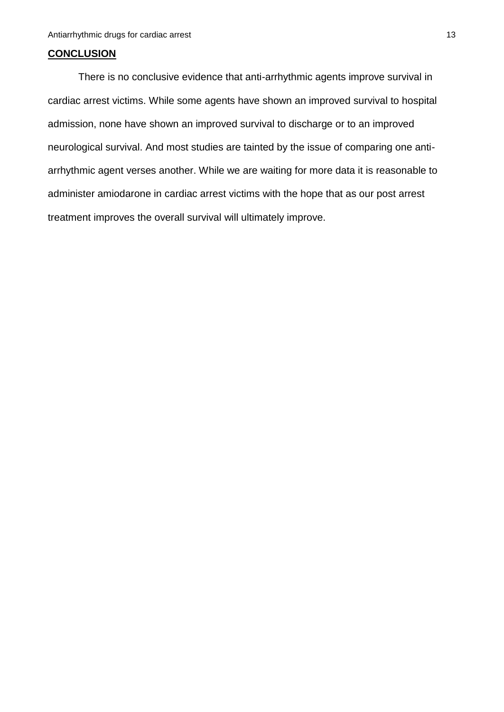## **CONCLUSION**

There is no conclusive evidence that anti-arrhythmic agents improve survival in cardiac arrest victims. While some agents have shown an improved survival to hospital admission, none have shown an improved survival to discharge or to an improved neurological survival. And most studies are tainted by the issue of comparing one antiarrhythmic agent verses another. While we are waiting for more data it is reasonable to administer amiodarone in cardiac arrest victims with the hope that as our post arrest treatment improves the overall survival will ultimately improve.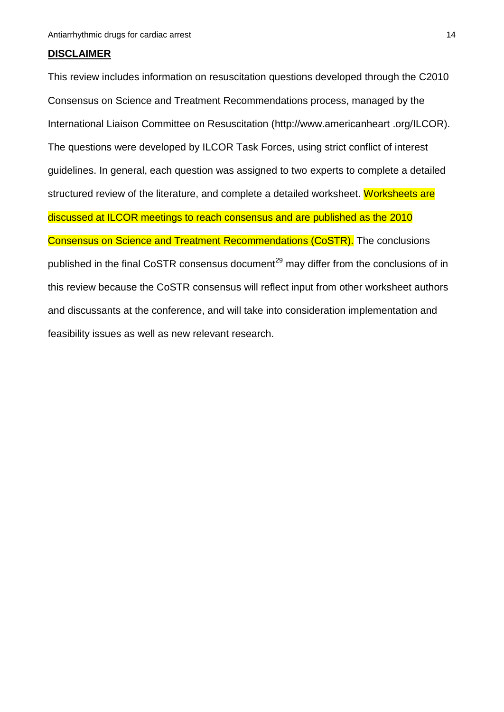#### **DISCLAIMER**

This review includes information on resuscitation questions developed through the C2010 Consensus on Science and Treatment Recommendations process, managed by the International Liaison Committee on Resuscitation [\(http://www.americanheart .](http://www.americanheart/)org/ILCOR). The questions were developed by ILCOR Task Forces, using strict conflict of interest guidelines. In general, each question was assigned to two experts to complete a detailed structured review of the literature, and complete a detailed worksheet. Worksheets are discussed at ILCOR meetings to reach consensus and are published as the 2010 Consensus on Science and Treatment Recommendations (CoSTR). The conclusions published in the final CoSTR consensus document<sup>29</sup> may differ from the conclusions of in this review because the CoSTR consensus will reflect input from other worksheet authors and discussants at the conference, and will take into consideration implementation and feasibility issues as well as new relevant research.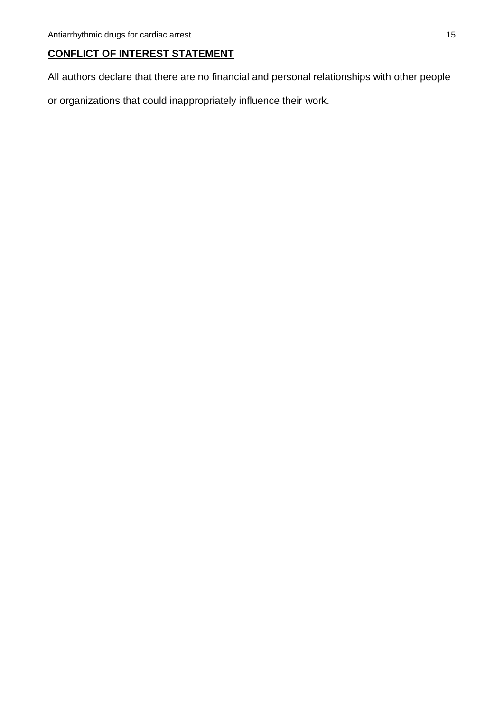# **CONFLICT OF INTEREST STATEMENT**

All authors declare that there are no financial and personal relationships with other people

or organizations that could inappropriately influence their work.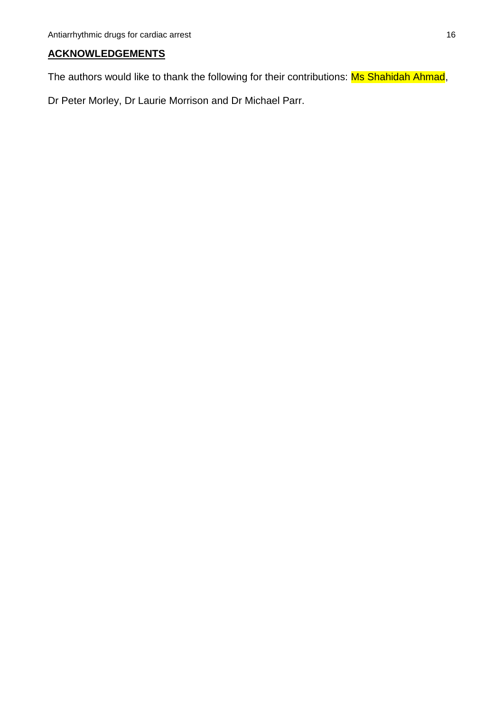# **ACKNOWLEDGEMENTS**

The authors would like to thank the following for their contributions: Ms Shahidah Ahmad,

Dr Peter Morley, Dr Laurie Morrison and Dr Michael Parr.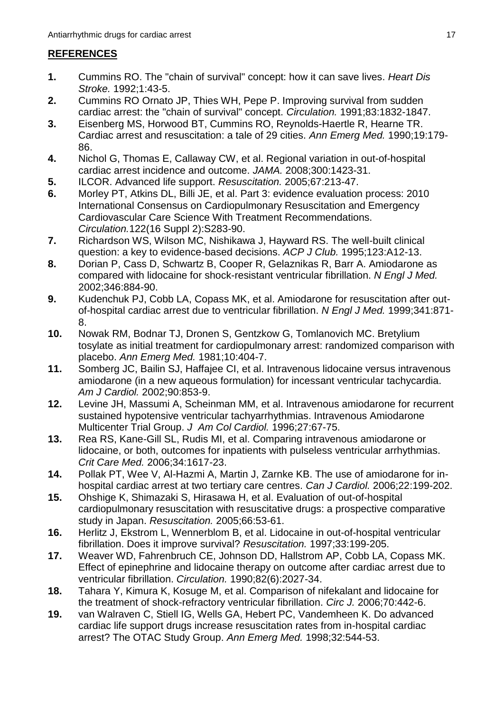# **REFERENCES**

- **1.** Cummins RO. The "chain of survival" concept: how it can save lives. *Heart Dis Stroke.* 1992;1:43-5.
- **2.** Cummins RO Ornato JP, Thies WH, Pepe P. Improving survival from sudden cardiac arrest: the "chain of survival" concept. *Circulation.* 1991;83:1832-1847.
- **3.** Eisenberg MS, Horwood BT, Cummins RO, Reynolds-Haertle R, Hearne TR. Cardiac arrest and resuscitation: a tale of 29 cities. *Ann Emerg Med.* 1990;19:179- 86.
- **4.** Nichol G, Thomas E, Callaway CW, et al. Regional variation in out-of-hospital cardiac arrest incidence and outcome. *JAMA.* 2008;300:1423-31.
- **5.** ILCOR. Advanced life support. *Resuscitation.* 2005;67:213-47.
- **6.** Morley PT, Atkins DL, Billi JE, et al. Part 3: evidence evaluation process: 2010 International Consensus on Cardiopulmonary Resuscitation and Emergency Cardiovascular Care Science With Treatment Recommendations. *Circulation.*122(16 Suppl 2):S283-90.
- **7.** Richardson WS, Wilson MC, Nishikawa J, Hayward RS. The well-built clinical question: a key to evidence-based decisions. *ACP J Club.* 1995;123:A12-13.
- **8.** Dorian P, Cass D, Schwartz B, Cooper R, Gelaznikas R, Barr A. Amiodarone as compared with lidocaine for shock-resistant ventricular fibrillation. *N Engl J Med.*  2002;346:884-90.
- **9.** Kudenchuk PJ, Cobb LA, Copass MK, et al. Amiodarone for resuscitation after outof-hospital cardiac arrest due to ventricular fibrillation. *N Engl J Med.* 1999;341:871- 8.
- **10.** Nowak RM, Bodnar TJ, Dronen S, Gentzkow G, Tomlanovich MC. Bretylium tosylate as initial treatment for cardiopulmonary arrest: randomized comparison with placebo. *Ann Emerg Med.* 1981;10:404-7.
- **11.** Somberg JC, Bailin SJ, Haffajee CI, et al. Intravenous lidocaine versus intravenous amiodarone (in a new aqueous formulation) for incessant ventricular tachycardia. *Am J Cardiol.* 2002;90:853-9.
- **12.** Levine JH, Massumi A, Scheinman MM, et al. Intravenous amiodarone for recurrent sustained hypotensive ventricular tachyarrhythmias. Intravenous Amiodarone Multicenter Trial Group. *J Am Col Cardiol.* 1996;27:67-75.
- **13.** Rea RS, Kane-Gill SL, Rudis MI, et al. Comparing intravenous amiodarone or lidocaine, or both, outcomes for inpatients with pulseless ventricular arrhythmias. *Crit Care Med.* 2006;34:1617-23.
- **14.** Pollak PT, Wee V, Al-Hazmi A, Martin J, Zarnke KB. The use of amiodarone for inhospital cardiac arrest at two tertiary care centres. *Can J Cardiol.* 2006;22:199-202.
- **15.** Ohshige K, Shimazaki S, Hirasawa H, et al. Evaluation of out-of-hospital cardiopulmonary resuscitation with resuscitative drugs: a prospective comparative study in Japan. *Resuscitation.* 2005;66:53-61.
- **16.** Herlitz J, Ekstrom L, Wennerblom B, et al. Lidocaine in out-of-hospital ventricular fibrillation. Does it improve survival? *Resuscitation.* 1997;33:199-205.
- **17.** Weaver WD, Fahrenbruch CE, Johnson DD, Hallstrom AP, Cobb LA, Copass MK. Effect of epinephrine and lidocaine therapy on outcome after cardiac arrest due to ventricular fibrillation. *Circulation.* 1990;82(6):2027-34.
- **18.** Tahara Y, Kimura K, Kosuge M, et al. Comparison of nifekalant and lidocaine for the treatment of shock-refractory ventricular fibrillation. *Circ J.* 2006;70:442-6.
- **19.** van Walraven C, Stiell IG, Wells GA, Hebert PC, Vandemheen K. Do advanced cardiac life support drugs increase resuscitation rates from in-hospital cardiac arrest? The OTAC Study Group. *Ann Emerg Med.* 1998;32:544-53.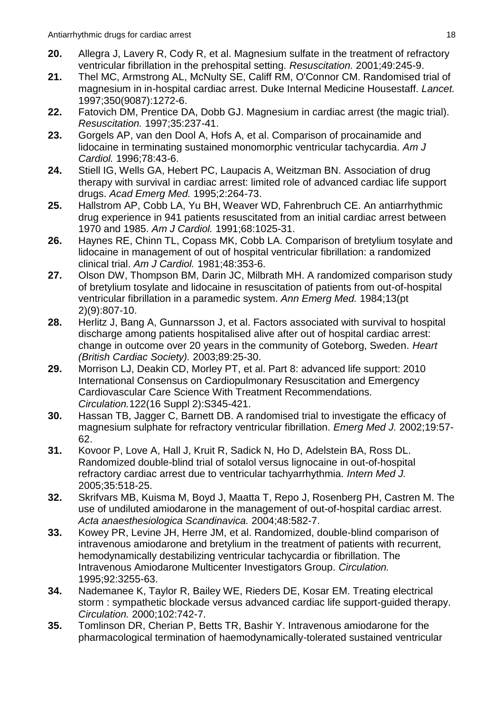- **20.** Allegra J, Lavery R, Cody R, et al. Magnesium sulfate in the treatment of refractory ventricular fibrillation in the prehospital setting. *Resuscitation.* 2001;49:245-9.
- **21.** Thel MC, Armstrong AL, McNulty SE, Califf RM, O'Connor CM. Randomised trial of magnesium in in-hospital cardiac arrest. Duke Internal Medicine Housestaff. *Lancet.*  1997;350(9087):1272-6.
- **22.** Fatovich DM, Prentice DA, Dobb GJ. Magnesium in cardiac arrest (the magic trial). *Resuscitation.* 1997;35:237-41.
- **23.** Gorgels AP, van den Dool A, Hofs A, et al. Comparison of procainamide and lidocaine in terminating sustained monomorphic ventricular tachycardia. *Am J Cardiol.* 1996;78:43-6.
- **24.** Stiell IG, Wells GA, Hebert PC, Laupacis A, Weitzman BN. Association of drug therapy with survival in cardiac arrest: limited role of advanced cardiac life support drugs. *Acad Emerg Med.* 1995;2:264-73.
- **25.** Hallstrom AP, Cobb LA, Yu BH, Weaver WD, Fahrenbruch CE. An antiarrhythmic drug experience in 941 patients resuscitated from an initial cardiac arrest between 1970 and 1985. *Am J Cardiol.* 1991;68:1025-31.
- **26.** Haynes RE, Chinn TL, Copass MK, Cobb LA. Comparison of bretylium tosylate and lidocaine in management of out of hospital ventricular fibrillation: a randomized clinical trial. *Am J Cardiol.* 1981;48:353-6.
- **27.** Olson DW, Thompson BM, Darin JC, Milbrath MH. A randomized comparison study of bretylium tosylate and lidocaine in resuscitation of patients from out-of-hospital ventricular fibrillation in a paramedic system. *Ann Emerg Med.* 1984;13(pt 2)(9):807-10.
- **28.** Herlitz J, Bang A, Gunnarsson J, et al. Factors associated with survival to hospital discharge among patients hospitalised alive after out of hospital cardiac arrest: change in outcome over 20 years in the community of Goteborg, Sweden. *Heart (British Cardiac Society).* 2003;89:25-30.
- **29.** Morrison LJ, Deakin CD, Morley PT, et al. Part 8: advanced life support: 2010 International Consensus on Cardiopulmonary Resuscitation and Emergency Cardiovascular Care Science With Treatment Recommendations. *Circulation.*122(16 Suppl 2):S345-421.
- **30.** Hassan TB, Jagger C, Barnett DB. A randomised trial to investigate the efficacy of magnesium sulphate for refractory ventricular fibrillation. *Emerg Med J.* 2002;19:57- 62.
- **31.** Kovoor P, Love A, Hall J, Kruit R, Sadick N, Ho D, Adelstein BA, Ross DL. Randomized double-blind trial of sotalol versus lignocaine in out-of-hospital refractory cardiac arrest due to ventricular tachyarrhythmia. *Intern Med J.*  2005;35:518-25.
- **32.** Skrifvars MB, Kuisma M, Boyd J, Maatta T, Repo J, Rosenberg PH, Castren M. The use of undiluted amiodarone in the management of out-of-hospital cardiac arrest. *Acta anaesthesiologica Scandinavica.* 2004;48:582-7.
- **33.** Kowey PR, Levine JH, Herre JM, et al. Randomized, double-blind comparison of intravenous amiodarone and bretylium in the treatment of patients with recurrent, hemodynamically destabilizing ventricular tachycardia or fibrillation. The Intravenous Amiodarone Multicenter Investigators Group. *Circulation.*  1995;92:3255-63.
- **34.** Nademanee K, Taylor R, Bailey WE, Rieders DE, Kosar EM. Treating electrical storm : sympathetic blockade versus advanced cardiac life support-guided therapy. *Circulation.* 2000;102:742-7.
- **35.** Tomlinson DR, Cherian P, Betts TR, Bashir Y. Intravenous amiodarone for the pharmacological termination of haemodynamically-tolerated sustained ventricular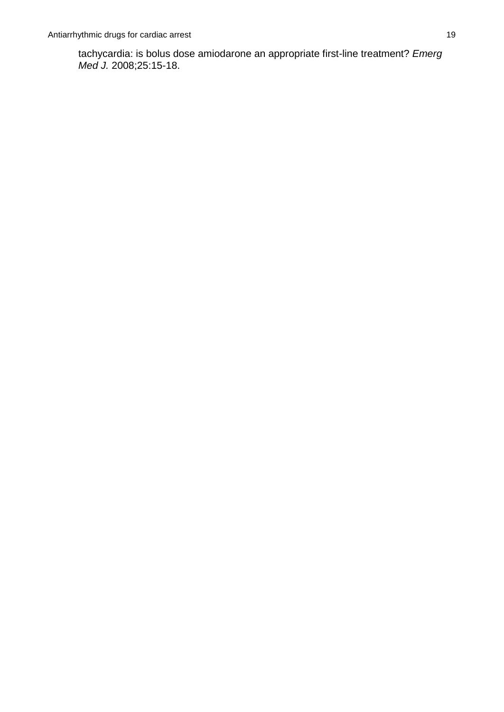tachycardia: is bolus dose amiodarone an appropriate first-line treatment? *Emerg Med J.* 2008;25:15-18.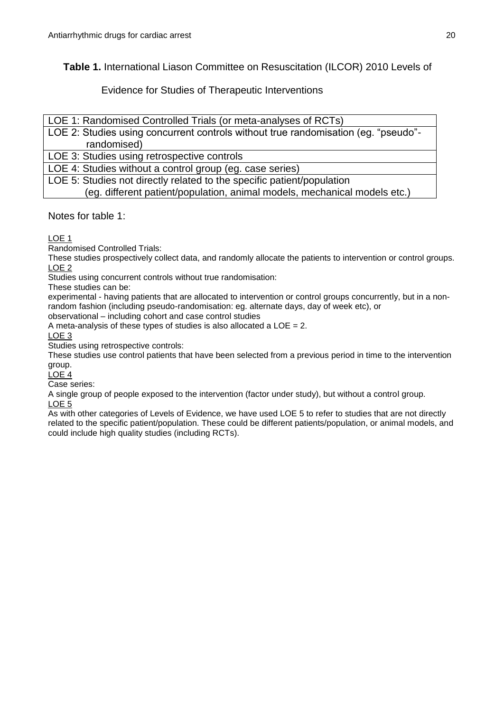**Table 1.** International Liason Committee on Resuscitation (ILCOR) 2010 Levels of

Evidence for Studies of Therapeutic Interventions

LOE 1: Randomised Controlled Trials (or meta-analyses of RCTs)

LOE 2: Studies using concurrent controls without true randomisation (eg. "pseudo" randomised)

LOE 3: Studies using retrospective controls

LOE 4: Studies without a control group (eg. case series)

LOE 5: Studies not directly related to the specific patient/population

(eg. different patient/population, animal models, mechanical models etc.)

Notes for table 1:

LOE 1

Randomised Controlled Trials:

These studies prospectively collect data, and randomly allocate the patients to intervention or control groups. LOE 2

Studies using concurrent controls without true randomisation:

These studies can be:

experimental - having patients that are allocated to intervention or control groups concurrently, but in a nonrandom fashion (including pseudo-randomisation: eg. alternate days, day of week etc), or

observational – including cohort and case control studies A meta-analysis of these types of studies is also allocated a LOE = 2.

LOE 3

Studies using retrospective controls:

These studies use control patients that have been selected from a previous period in time to the intervention group.

LOE 4

Case series:

A single group of people exposed to the intervention (factor under study), but without a control group. LOE 5

As with other categories of Levels of Evidence, we have used LOE 5 to refer to studies that are not directly related to the specific patient/population. These could be different patients/population, or animal models, and could include high quality studies (including RCTs).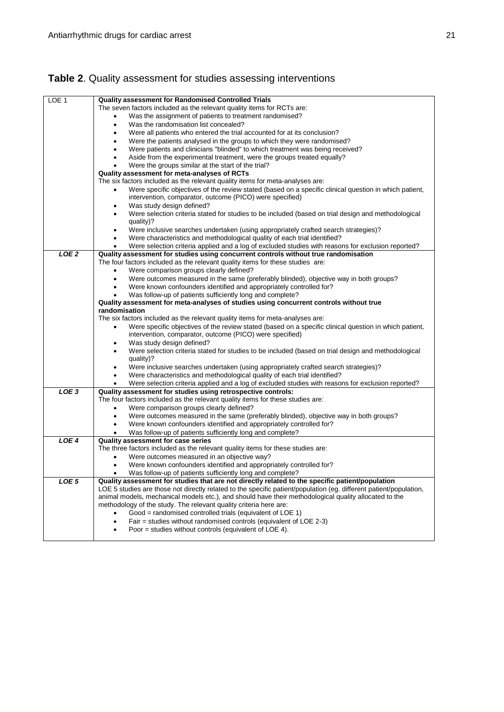#### LOE 1 **Quality assessment for Randomised Controlled Trials** The seven factors included as the relevant quality items for RCTs are: Was the assignment of patients to treatment randomised? Was the randomisation list concealed? Were all patients who entered the trial accounted for at its conclusion? Were the patients analysed in the groups to which they were randomised? Were patients and clinicians "blinded" to which treatment was being received? Aside from the experimental treatment, were the groups treated equally? Were the groups similar at the start of the trial? **Quality assessment for meta-analyses of RCTs**  The six factors included as the relevant quality items for meta-analyses are: Were specific objectives of the review stated (based on a specific clinical question in which patient, intervention, comparator, outcome (PICO) were specified) Was study design defined? Were selection criteria stated for studies to be included (based on trial design and methodological quality)? Were inclusive searches undertaken (using appropriately crafted search strategies)? Were characteristics and methodological quality of each trial identified? Were selection criteria applied and a log of excluded studies with reasons for exclusion reported? *LOE 2* **Quality assessment for studies using concurrent controls without true randomisation**  The four factors included as the relevant quality items for these studies are: Were comparison groups clearly defined? Were outcomes measured in the same (preferably blinded), objective way in both groups? Were known confounders identified and appropriately controlled for? Was follow-up of patients sufficiently long and complete? **Quality assessment for meta-analyses of studies using concurrent controls without true randomisation**  The six factors included as the relevant quality items for meta-analyses are: Were specific objectives of the review stated (based on a specific clinical question in which patient, intervention, comparator, outcome (PICO) were specified) Was study design defined? Were selection criteria stated for studies to be included (based on trial design and methodological quality)? Were inclusive searches undertaken (using appropriately crafted search strategies)? Were characteristics and methodological quality of each trial identified? Were selection criteria applied and a log of excluded studies with reasons for exclusion reported? *LOE 3* **Quality assessment for studies using retrospective controls:**  The four factors included as the relevant quality items for these studies are: Were comparison groups clearly defined? Were outcomes measured in the same (preferably blinded), objective way in both groups? Were known confounders identified and appropriately controlled for? Was follow-up of patients sufficiently long and complete? *LOE 4* **Quality assessment for case series** The three factors included as the relevant quality items for these studies are: Were outcomes measured in an objective way? Were known confounders identified and appropriately controlled for? Was follow-up of patients sufficiently long and complete? *LOE 5* **Quality assessment for studies that are not directly related to the specific patient/population** LOE 5 studies are those not directly related to the specific patient/population (eg. different patient/population, animal models, mechanical models etc.), and should have their methodological quality allocated to the methodology of the study. The relevant quality criteria here are: Good = randomised controlled trials (equivalent of LOE 1) Fair = studies without randomised controls (equivalent of LOE 2-3) Poor = studies without controls (equivalent of LOE 4).

# **Table 2**. Quality assessment for studies assessing interventions